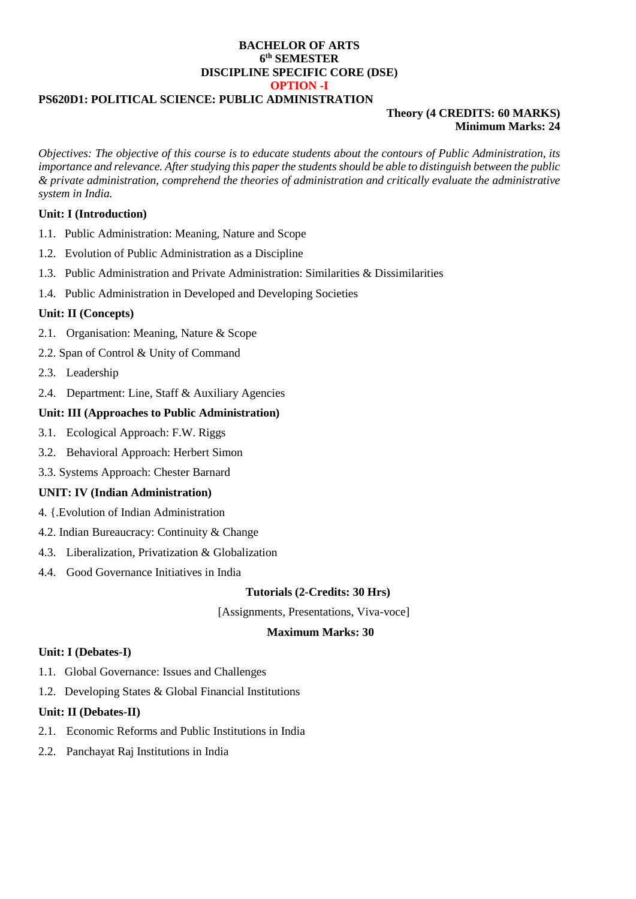## **BACHELOR OF ARTS 6 th SEMESTER DISCIPLINE SPECIFIC CORE (DSE) OPTION -I**

## **PS620D1: POLITICAL SCIENCE: PUBLIC ADMINISTRATION**

# **Theory (4 CREDITS: 60 MARKS) Minimum Marks: 24**

*Objectives: The objective of this course is to educate students about the contours of Public Administration, its importance and relevance. After studying this paper the students should be able to distinguish between the public & private administration, comprehend the theories of administration and critically evaluate the administrative system in India.*

## **Unit: I (Introduction)**

- 1.1. Public Administration: Meaning, Nature and Scope
- 1.2. Evolution of Public Administration as a Discipline
- 1.3. Public Administration and Private Administration: Similarities & Dissimilarities
- 1.4. Public Administration in Developed and Developing Societies

## **Unit: II (Concepts)**

- 2.1. Organisation: Meaning, Nature & Scope
- 2.2. Span of Control & Unity of Command
- 2.3. Leadership
- 2.4. Department: Line, Staff & Auxiliary Agencies

## **Unit: III (Approaches to Public Administration)**

- 3.1. Ecological Approach: F.W. Riggs
- 3.2. Behavioral Approach: Herbert Simon
- 3.3. Systems Approach: Chester Barnard

# **UNIT: IV (Indian Administration)**

- 4. {.Evolution of Indian Administration
- 4.2. Indian Bureaucracy: Continuity & Change
- 4.3. Liberalization, Privatization & Globalization
- 4.4. Good Governance Initiatives in India

#### **Tutorials (2-Credits: 30 Hrs)**

[Assignments, Presentations, Viva-voce]

#### **Maximum Marks: 30**

#### **Unit: I (Debates-I)**

- 1.1. Global Governance: Issues and Challenges
- 1.2. Developing States & Global Financial Institutions

#### **Unit: II (Debates-II)**

- 2.1. Economic Reforms and Public Institutions in India
- 2.2. Panchayat Raj Institutions in India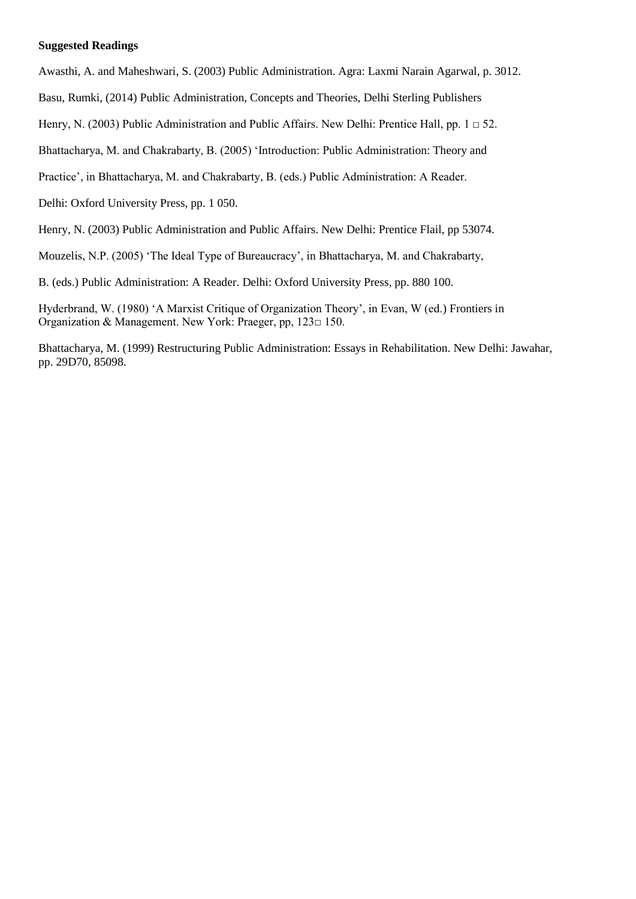# **Suggested Readings**

Awasthi, A. and Maheshwari, S. (2003) Public Administration. Agra: Laxmi Narain Agarwal, p. 3012.

Basu, Rumki, (2014) Public Administration, Concepts and Theories, Delhi Sterling Publishers

Henry, N. (2003) Public Administration and Public Affairs. New Delhi: Prentice Hall, pp.  $1 \Box 52$ .

Bhattacharya, M. and Chakrabarty, B. (2005) 'Introduction: Public Administration: Theory and

Practice', in Bhattacharya, M. and Chakrabarty, B. (eds.) Public Administration: A Reader.

Delhi: Oxford University Press, pp. 1 050.

Henry, N. (2003) Public Administration and Public Affairs. New Delhi: Prentice Flail, pp 53074.

Mouzelis, N.P. (2005) 'The Ideal Type of Bureaucracy', in Bhattacharya, M. and Chakrabarty,

B. (eds.) Public Administration: A Reader. Delhi: Oxford University Press, pp. 880 100.

Hyderbrand, W. (1980) 'A Marxist Critique of Organization Theory', in Evan, W (ed.) Frontiers in Organization & Management. New York: Praeger, pp, 123□ 150.

Bhattacharya, M. (1999) Restructuring Public Administration: Essays in Rehabilitation. New Delhi: Jawahar, pp. 29D70, 85098.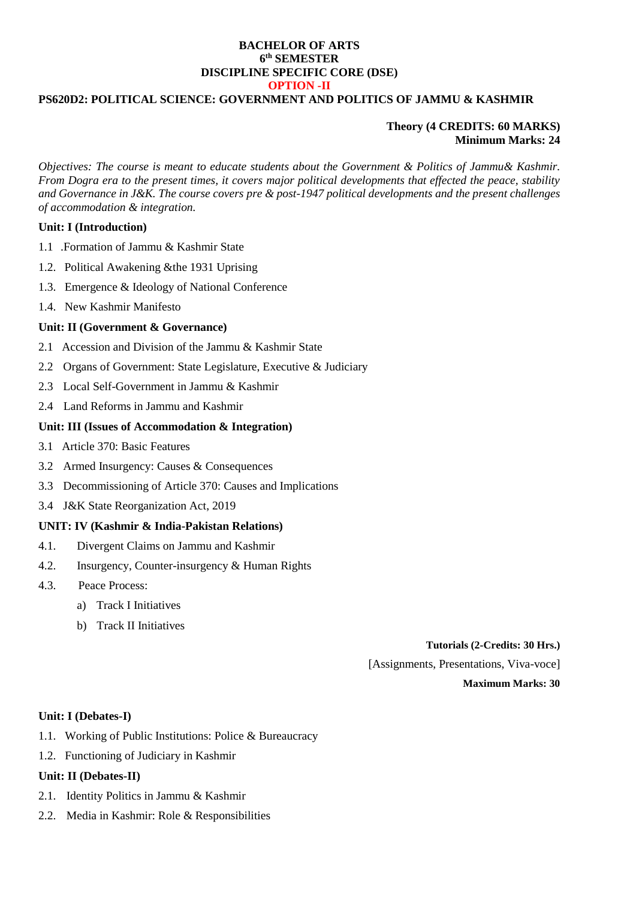## **BACHELOR OF ARTS 6 th SEMESTER DISCIPLINE SPECIFIC CORE (DSE) OPTION -II**

# **PS620D2: POLITICAL SCIENCE: GOVERNMENT AND POLITICS OF JAMMU & KASHMIR**

# **Theory (4 CREDITS: 60 MARKS) Minimum Marks: 24**

*Objectives: The course is meant to educate students about the Government & Politics of Jammu& Kashmir. From Dogra era to the present times, it covers major political developments that effected the peace, stability and Governance in J&K. The course covers pre & post-1947 political developments and the present challenges of accommodation & integration.*

# **Unit: I (Introduction)**

- 1.1 .Formation of Jammu & Kashmir State
- 1.2. Political Awakening &the 1931 Uprising
- 1.3. Emergence & Ideology of National Conference
- 1.4. New Kashmir Manifesto

## **Unit: II (Government & Governance)**

- 2.1 Accession and Division of the Jammu & Kashmir State
- 2.2 Organs of Government: State Legislature, Executive & Judiciary
- 2.3 Local Self-Government in Jammu & Kashmir
- 2.4 Land Reforms in Jammu and Kashmir

# **Unit: III (Issues of Accommodation & Integration)**

- 3.1 Article 370: Basic Features
- 3.2 Armed Insurgency: Causes & Consequences
- 3.3 Decommissioning of Article 370: Causes and Implications
- 3.4 J&K State Reorganization Act, 2019

# **UNIT: IV (Kashmir & India-Pakistan Relations)**

- 4.1. Divergent Claims on Jammu and Kashmir
- 4.2. Insurgency, Counter-insurgency & Human Rights
- 4.3. Peace Process:
	- a) Track I Initiatives
	- b) Track II Initiatives

## **Tutorials (2-Credits: 30 Hrs.)**

[Assignments, Presentations, Viva-voce]

**Maximum Marks: 30**

#### **Unit: I (Debates-I)**

- 1.1. Working of Public Institutions: Police & Bureaucracy
- 1.2. Functioning of Judiciary in Kashmir

# **Unit: II (Debates-II)**

- 2.1. Identity Politics in Jammu & Kashmir
- 2.2. Media in Kashmir: Role & Responsibilities